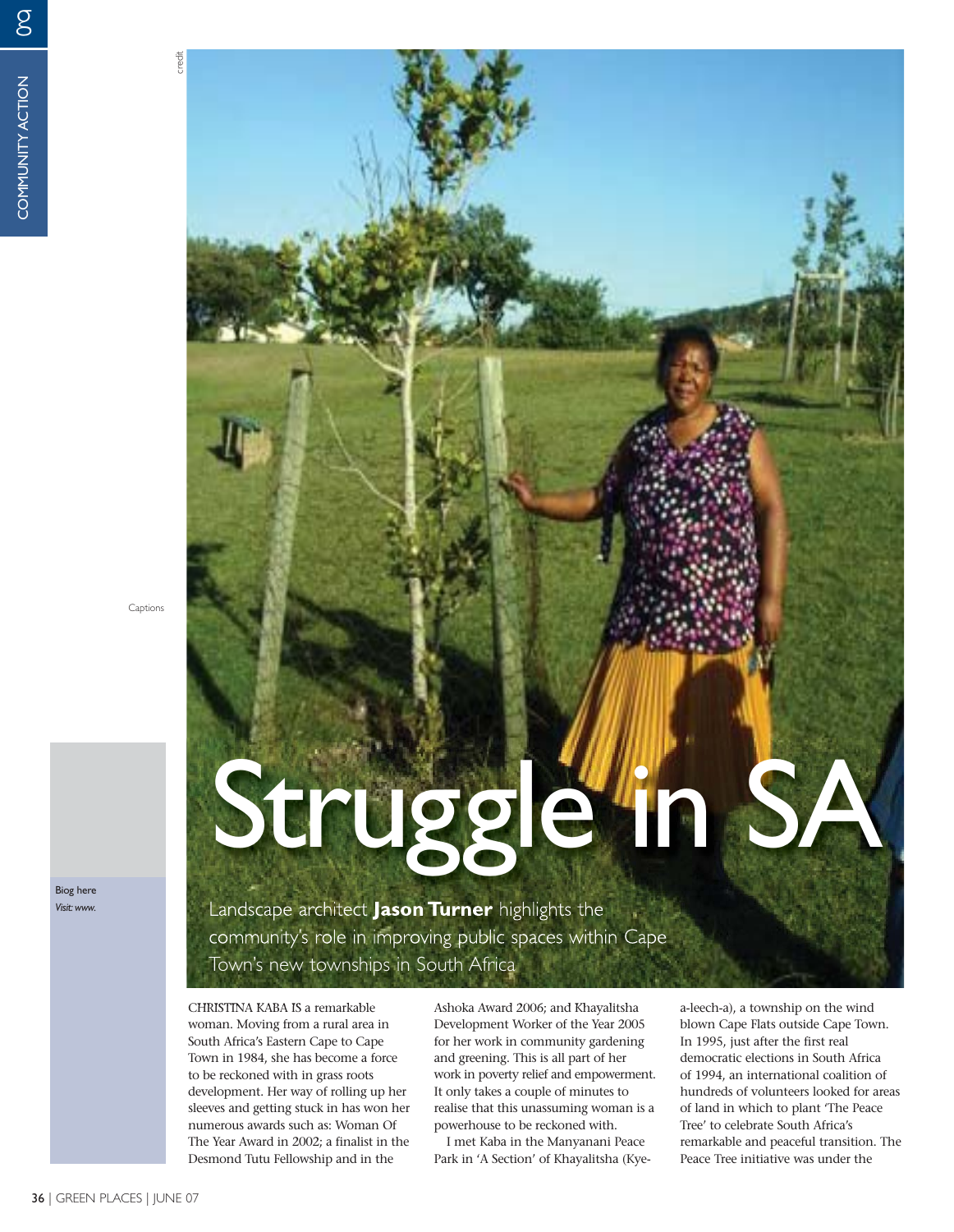g

Captions

credit

Biog here *Visit: www.*

## Landscape architect **Jason Turner** highlights the Struggle in SA

community's role in improving public spaces within Cape Town's new townships in South Africa

CHRISTINA KABA IS a remarkable woman. Moving from a rural area in South Africa's Eastern Cape to Cape Town in 1984, she has become a force to be reckoned with in grass roots development. Her way of rolling up her sleeves and getting stuck in has won her numerous awards such as: Woman Of The Year Award in 2002; a finalist in the Desmond Tutu Fellowship and in the

Ashoka Award 2006; and Khayalitsha Development Worker of the Year 2005 for her work in community gardening and greening. This is all part of her work in poverty relief and empowerment. It only takes a couple of minutes to realise that this unassuming woman is a powerhouse to be reckoned with.

I met Kaba in the Manyanani Peace Park in 'A Section' of Khayalitsha (Kyea-leech-a), a township on the wind blown Cape Flats outside Cape Town. In 1995, just after the first real democratic elections in South Africa of 1994, an international coalition of hundreds of volunteers looked for areas of land in which to plant 'The Peace Tree' to celebrate South Africa's remarkable and peaceful transition. The Peace Tree initiative was under the